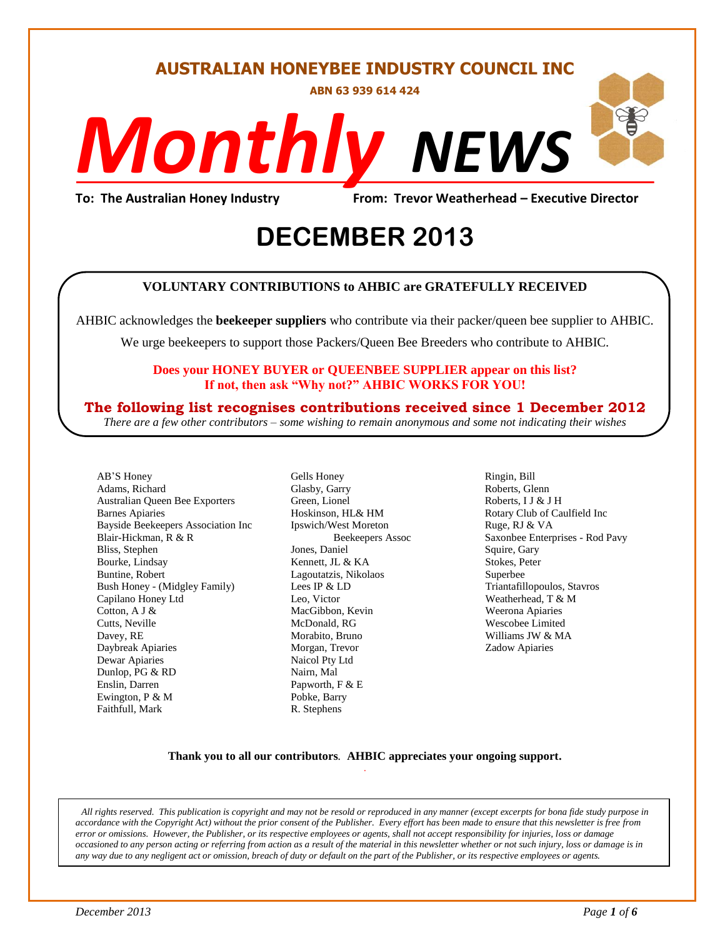# **AUSTRALIAN HONEYBEE INDUSTRY COUNCIL INC**

**ABN 63 939 614 424**

# *NEWS Monthly*

**To: The Australian Honey Industry From: Trevor Weatherhead – Executive Director**

# **2013 DECEMBER 2013**

### **VOLUNTARY CONTRIBUTIONS to AHBIC are GRATEFULLY RECEIVED**

AHBIC acknowledges the **beekeeper suppliers** who contribute via their packer/queen bee supplier to AHBIC.

We urge beekeepers to support those Packers/Queen Bee Breeders who contribute to AHBIC.

#### **Does your HONEY BUYER or QUEENBEE SUPPLIER appear on this list? If not, then ask "Why not?" AHBIC WORKS FOR YOU!**

# **The following list recognises contributions received since 1 December 2012**

*There are a few other contributors – some wishing to remain anonymous and some not indicating their wishes*

AB'S Honey Adams, Richard Australian Queen Bee Exporters Barnes Apiaries Bayside Beekeepers Association Inc Blair-Hickman, R & R Bliss, Stephen Bourke, Lindsay Buntine, Robert Bush Honey - (Midgley Family) Capilano Honey Ltd Cotton, A J & Cutts, Neville Davey, RE Daybreak Apiaries Dewar Apiaries Dunlop, PG & RD Enslin, Darren Ewington, P & M Faithfull, Mark

Gells Honey Glasby, Garry Green, Lionel Hoskinson, HL& HM Ipswich/West Moreton Beekeepers Assoc Jones, Daniel Kennett, JL & KA Lagoutatzis, Nikolaos Lees IP & LD Leo, Victor MacGibbon, Kevin McDonald, RG Morabito, Bruno Morgan, Trevor Naicol Pty Ltd Nairn, Mal Papworth, F & E Pobke, Barry R. Stephens

Ringin, Bill Roberts, Glenn Roberts, I J & J H Rotary Club of Caulfield Inc Ruge, RJ & VA Saxonbee Enterprises - Rod Pavy Squire, Gary Stokes, Peter Superbee Triantafillopoulos, Stavros Weatherhead, T & M Weerona Apiaries Wescobee Limited Williams JW & MA Zadow Apiaries

#### **Thank you to all our contributors***.* **AHBIC appreciates your ongoing support.** .

*All rights reserved. This publication is copyright and may not be resold or reproduced in any manner (except excerpts for bona fide study purpose in accordance with the Copyright Act) without the prior consent of the Publisher. Every effort has been made to ensure that this newsletter is free from error or omissions. However, the Publisher, or its respective employees or agents, shall not accept responsibility for injuries, loss or damage occasioned to any person acting or referring from action as a result of the material in this newsletter whether or not such injury, loss or damage is in any way due to any negligent act or omission, breach of duty or default on the part of the Publisher, or its respective employees or agents.*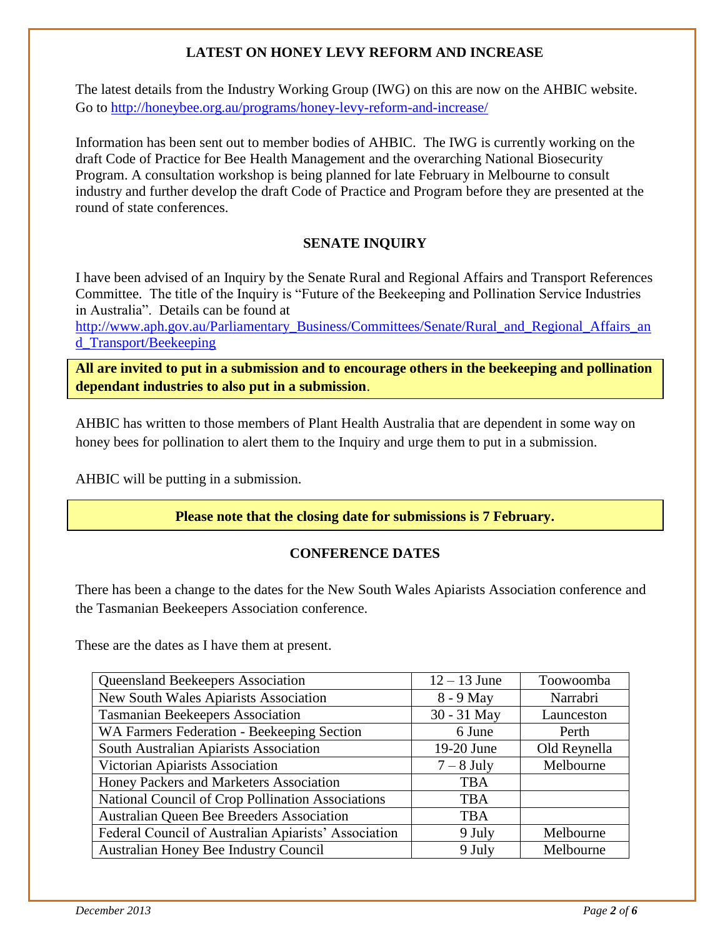# **LATEST ON HONEY LEVY REFORM AND INCREASE**

The latest details from the Industry Working Group (IWG) on this are now on the AHBIC website. Go to<http://honeybee.org.au/programs/honey-levy-reform-and-increase/>

Information has been sent out to member bodies of AHBIC. The IWG is currently working on the draft Code of Practice for Bee Health Management and the overarching National Biosecurity Program. A consultation workshop is being planned for late February in Melbourne to consult industry and further develop the draft Code of Practice and Program before they are presented at the round of state conferences.

# **SENATE INQUIRY**

I have been advised of an Inquiry by the Senate Rural and Regional Affairs and Transport References Committee. The title of the Inquiry is "Future of the Beekeeping and Pollination Service Industries in Australia". Details can be found at

[http://www.aph.gov.au/Parliamentary\\_Business/Committees/Senate/Rural\\_and\\_Regional\\_Affairs\\_an](http://www.aph.gov.au/Parliamentary_Business/Committees/Senate/Rural_and_Regional_Affairs_and_Transport/Beekeeping) [d\\_Transport/Beekeeping](http://www.aph.gov.au/Parliamentary_Business/Committees/Senate/Rural_and_Regional_Affairs_and_Transport/Beekeeping)

**All are invited to put in a submission and to encourage others in the beekeeping and pollination dependant industries to also put in a submission**.

AHBIC has written to those members of Plant Health Australia that are dependent in some way on honey bees for pollination to alert them to the Inquiry and urge them to put in a submission.

AHBIC will be putting in a submission.

**Please note that the closing date for submissions is 7 February.**

# **CONFERENCE DATES**

There has been a change to the dates for the New South Wales Apiarists Association conference and the Tasmanian Beekeepers Association conference.

These are the dates as I have them at present.

| Queensland Beekeepers Association                    | $12 - 13$ June | Toowoomba    |
|------------------------------------------------------|----------------|--------------|
| New South Wales Apiarists Association                | 8 - 9 May      | Narrabri     |
| <b>Tasmanian Beekeepers Association</b>              | 30 - 31 May    | Launceston   |
| WA Farmers Federation - Beekeeping Section           | 6 June         | Perth        |
| South Australian Apiarists Association               | 19-20 June     | Old Reynella |
| Victorian Apiarists Association                      | $7 - 8$ July   | Melbourne    |
| Honey Packers and Marketers Association              | <b>TBA</b>     |              |
| National Council of Crop Pollination Associations    | <b>TBA</b>     |              |
| <b>Australian Queen Bee Breeders Association</b>     | <b>TBA</b>     |              |
| Federal Council of Australian Apiarists' Association | 9 July         | Melbourne    |
| <b>Australian Honey Bee Industry Council</b>         | 9 July         | Melbourne    |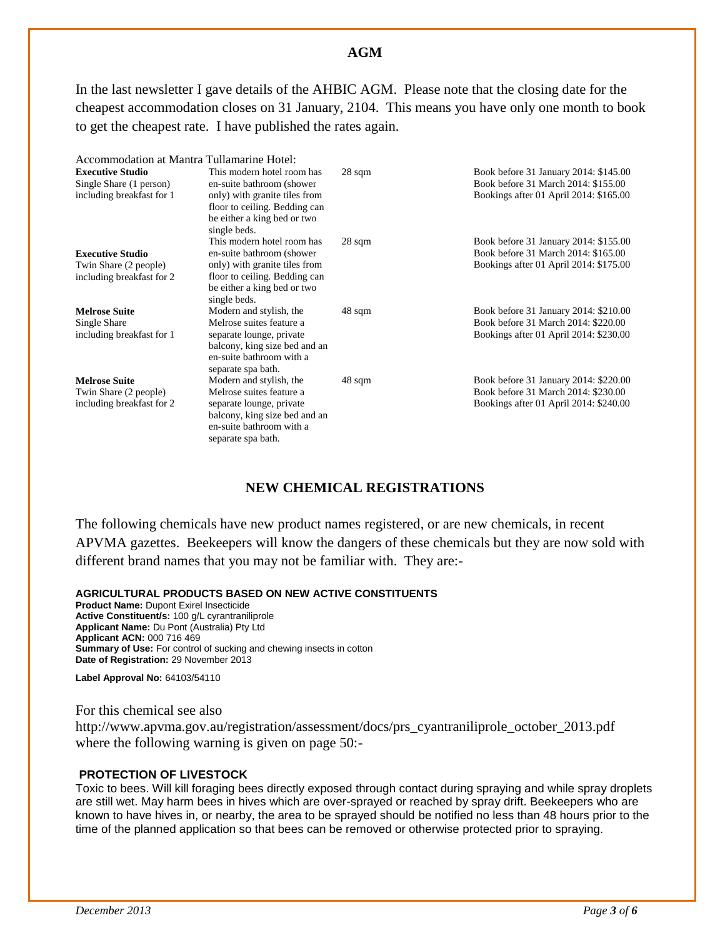#### **AGM**

In the last newsletter I gave details of the AHBIC AGM. Please note that the closing date for the cheapest accommodation closes on 31 January, 2104. This means you have only one month to book to get the cheapest rate. I have published the rates again.

| Accommodation at Mantra Tullamarine Hotel: |                               |                  |                                        |
|--------------------------------------------|-------------------------------|------------------|----------------------------------------|
| <b>Executive Studio</b>                    | This modern hotel room has    | $28 \text{ sqm}$ | Book before 31 January 2014: \$145.00  |
| Single Share (1 person)                    | en-suite bathroom (shower)    |                  | Book before 31 March 2014: \$155.00    |
| including breakfast for 1                  | only) with granite tiles from |                  | Bookings after 01 April 2014: \$165.00 |
|                                            | floor to ceiling. Bedding can |                  |                                        |
|                                            | be either a king bed or two   |                  |                                        |
|                                            | single beds.                  |                  |                                        |
|                                            | This modern hotel room has    | $28 \text{ sqm}$ | Book before 31 January 2014: \$155.00  |
| <b>Executive Studio</b>                    | en-suite bathroom (shower     |                  | Book before 31 March 2014: \$165.00    |
| Twin Share (2 people)                      | only) with granite tiles from |                  | Bookings after 01 April 2014: \$175.00 |
| including breakfast for 2                  | floor to ceiling. Bedding can |                  |                                        |
|                                            | be either a king bed or two   |                  |                                        |
|                                            | single beds.                  |                  |                                        |
| <b>Melrose Suite</b>                       | Modern and stylish, the       | 48 sqm           | Book before 31 January 2014: \$210.00  |
| Single Share                               | Melrose suites feature a      |                  | Book before 31 March 2014: \$220.00    |
| including breakfast for 1                  | separate lounge, private      |                  | Bookings after 01 April 2014: \$230.00 |
|                                            | balcony, king size bed and an |                  |                                        |
|                                            | en-suite bathroom with a      |                  |                                        |
|                                            | separate spa bath.            |                  |                                        |
| <b>Melrose Suite</b>                       | Modern and stylish, the       | 48 sqm           | Book before 31 January 2014: \$220.00  |
| Twin Share (2 people)                      | Melrose suites feature a      |                  | Book before 31 March 2014: \$230.00    |
| including breakfast for 2                  | separate lounge, private      |                  | Bookings after 01 April 2014: \$240.00 |
|                                            | balcony, king size bed and an |                  |                                        |
|                                            | en-suite bathroom with a      |                  |                                        |
|                                            | separate spa bath.            |                  |                                        |

#### **NEW CHEMICAL REGISTRATIONS**

The following chemicals have new product names registered, or are new chemicals, in recent APVMA gazettes. Beekeepers will know the dangers of these chemicals but they are now sold with different brand names that you may not be familiar with. They are:-

#### **AGRICULTURAL PRODUCTS BASED ON NEW ACTIVE CONSTITUENTS**

**Product Name:** Dupont Exirel Insecticide **Active Constituent/s:** 100 g/L cyrantraniliprole **Applicant Name:** Du Pont (Australia) Pty Ltd **Applicant ACN:** 000 716 469 **Summary of Use:** For control of sucking and chewing insects in cotton **Date of Registration:** 29 November 2013

**Label Approval No:** 64103/54110

For this chemical see also

http://www.apvma.gov.au/registration/assessment/docs/prs\_cyantraniliprole\_october\_2013.pdf where the following warning is given on page 50:-

#### **PROTECTION OF LIVESTOCK**

Toxic to bees. Will kill foraging bees directly exposed through contact during spraying and while spray droplets are still wet. May harm bees in hives which are over-sprayed or reached by spray drift. Beekeepers who are known to have hives in, or nearby, the area to be sprayed should be notified no less than 48 hours prior to the time of the planned application so that bees can be removed or otherwise protected prior to spraying.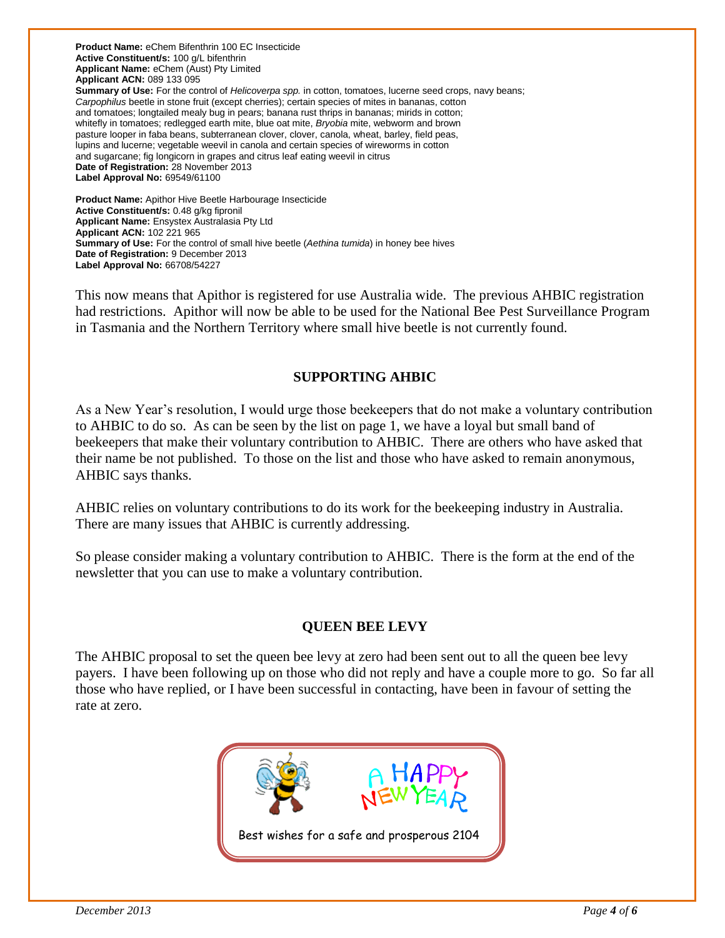**Product Name:** eChem Bifenthrin 100 EC Insecticide **Active Constituent/s:** 100 g/L bifenthrin **Applicant Name:** eChem (Aust) Pty Limited **Applicant ACN:** 089 133 095 **Summary of Use:** For the control of *Helicoverpa spp.* in cotton, tomatoes, lucerne seed crops, navy beans; *Carpophilus* beetle in stone fruit (except cherries); certain species of mites in bananas, cotton and tomatoes; longtailed mealy bug in pears; banana rust thrips in bananas; mirids in cotton; whitefly in tomatoes; redlegged earth mite, blue oat mite, *Bryobia* mite, webworm and brown pasture looper in faba beans, subterranean clover, clover, canola, wheat, barley, field peas, lupins and lucerne; vegetable weevil in canola and certain species of wireworms in cotton and sugarcane; fig longicorn in grapes and citrus leaf eating weevil in citrus **Date of Registration:** 28 November 2013 **Label Approval No:** 69549/61100 **Product Name:** Apithor Hive Beetle Harbourage Insecticide

**Active Constituent/s:** 0.48 g/kg fipronil **Applicant Name:** Ensystex Australasia Pty Ltd **Applicant ACN:** 102 221 965 **Summary of Use:** For the control of small hive beetle (*Aethina tumida*) in honey bee hives **Date of Registration:** 9 December 2013 **Label Approval No:** 66708/54227

This now means that Apithor is registered for use Australia wide. The previous AHBIC registration had restrictions. Apithor will now be able to be used for the National Bee Pest Surveillance Program in Tasmania and the Northern Territory where small hive beetle is not currently found.

# **SUPPORTING AHBIC**

As a New Year's resolution, I would urge those beekeepers that do not make a voluntary contribution to AHBIC to do so. As can be seen by the list on page 1, we have a loyal but small band of beekeepers that make their voluntary contribution to AHBIC. There are others who have asked that their name be not published. To those on the list and those who have asked to remain anonymous, AHBIC says thanks.

AHBIC relies on voluntary contributions to do its work for the beekeeping industry in Australia. There are many issues that AHBIC is currently addressing.

So please consider making a voluntary contribution to AHBIC. There is the form at the end of the newsletter that you can use to make a voluntary contribution.

# **QUEEN BEE LEVY**

The AHBIC proposal to set the queen bee levy at zero had been sent out to all the queen bee levy payers. I have been following up on those who did not reply and have a couple more to go. So far all those who have replied, or I have been successful in contacting, have been in favour of setting the rate at zero.

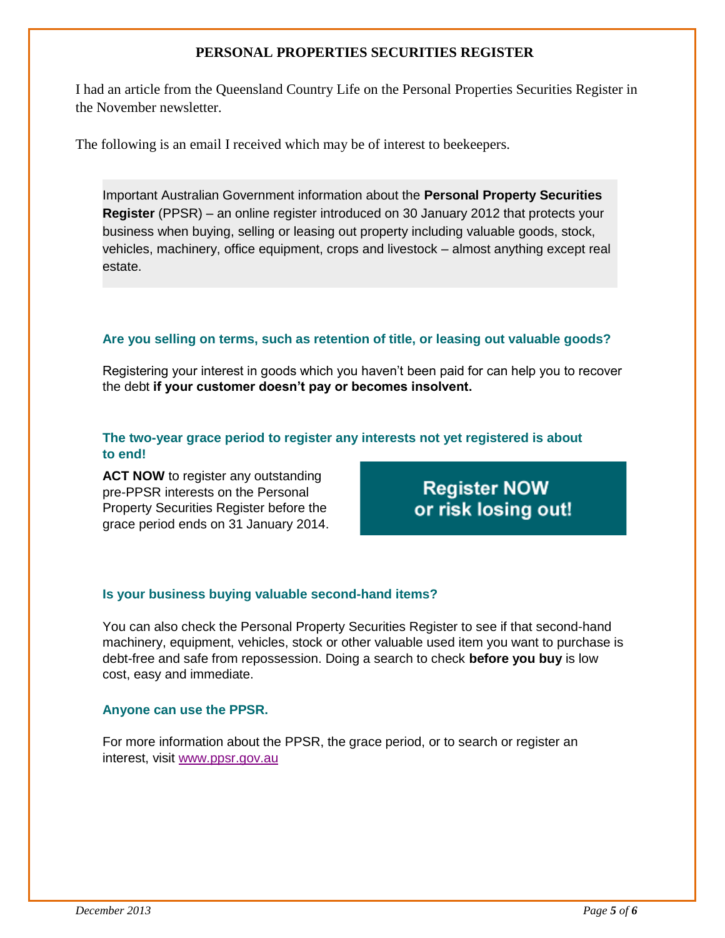## **PERSONAL PROPERTIES SECURITIES REGISTER**

I had an article from the Queensland Country Life on the Personal Properties Securities Register in the November newsletter.

The following is an email I received which may be of interest to beekeepers.

Important Australian Government information about the **Personal Property Securities Register** (PPSR) – an online register introduced on 30 January 2012 that protects your business when buying, selling or leasing out property including valuable goods, stock, vehicles, machinery, office equipment, crops and livestock – almost anything except real estate.

#### **Are you selling on terms, such as retention of title, or leasing out valuable goods?**

Registering your interest in goods which you haven't been paid for can help you to recover the debt **if your customer doesn't pay or becomes insolvent.**

#### **The two-year grace period to register any interests not yet registered is about to end!**

**ACT NOW** to register any outstanding pre-PPSR interests on the Personal Property Securities Register before the grace period ends on 31 January 2014.

**Register NOW** or risk losing out!

#### **Is your business buying valuable second-hand items?**

You can also check the Personal Property Securities Register to see if that second-hand machinery, equipment, vehicles, stock or other valuable used item you want to purchase is debt-free and safe from repossession. Doing a search to check **before you buy** is low cost, easy and immediate.

#### **Anyone can use the PPSR.**

For more information about the PPSR, the grace period, or to search or register an interest, visit [www.ppsr.gov.au](http://www.ppsr.gov.au/Pages/ppsr.aspx?utm_source=ppsr&utm_medium=email&utm_campaign=ppsrnews)